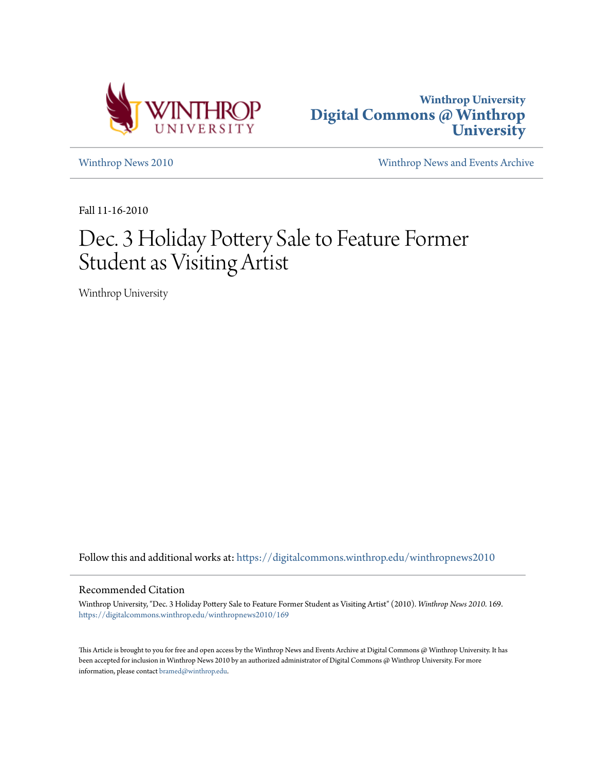



[Winthrop News 2010](https://digitalcommons.winthrop.edu/winthropnews2010?utm_source=digitalcommons.winthrop.edu%2Fwinthropnews2010%2F169&utm_medium=PDF&utm_campaign=PDFCoverPages) [Winthrop News and Events Archive](https://digitalcommons.winthrop.edu/winthropnewsarchives?utm_source=digitalcommons.winthrop.edu%2Fwinthropnews2010%2F169&utm_medium=PDF&utm_campaign=PDFCoverPages)

Fall 11-16-2010

## Dec. 3 Holiday Pottery Sale to Feature Former Student as Visiting Artist

Winthrop University

Follow this and additional works at: [https://digitalcommons.winthrop.edu/winthropnews2010](https://digitalcommons.winthrop.edu/winthropnews2010?utm_source=digitalcommons.winthrop.edu%2Fwinthropnews2010%2F169&utm_medium=PDF&utm_campaign=PDFCoverPages)

#### Recommended Citation

Winthrop University, "Dec. 3 Holiday Pottery Sale to Feature Former Student as Visiting Artist" (2010). *Winthrop News 2010*. 169. [https://digitalcommons.winthrop.edu/winthropnews2010/169](https://digitalcommons.winthrop.edu/winthropnews2010/169?utm_source=digitalcommons.winthrop.edu%2Fwinthropnews2010%2F169&utm_medium=PDF&utm_campaign=PDFCoverPages)

This Article is brought to you for free and open access by the Winthrop News and Events Archive at Digital Commons @ Winthrop University. It has been accepted for inclusion in Winthrop News 2010 by an authorized administrator of Digital Commons @ Winthrop University. For more information, please contact [bramed@winthrop.edu](mailto:bramed@winthrop.edu).